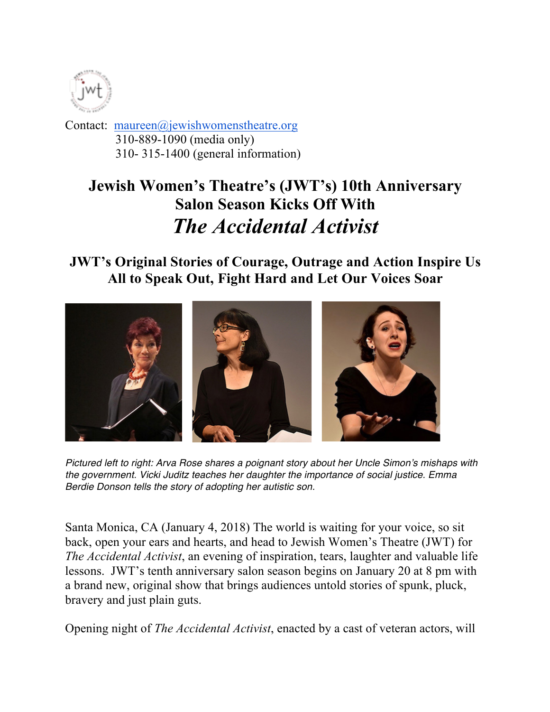

Contact: maureen@jewishwomenstheatre.org 310-889-1090 (media only) 310- 315-1400 (general information)

## **Jewish Women's Theatre's (JWT's) 10th Anniversary Salon Season Kicks Off With** *The Accidental Activist*

## **JWT's Original Stories of Courage, Outrage and Action Inspire Us All to Speak Out, Fight Hard and Let Our Voices Soar**



*Pictured left to right: Arva Rose shares a poignant story about her Uncle Simon's mishaps with the government. Vicki Juditz teaches her daughter the importance of social justice. Emma Berdie Donson tells the story of adopting her autistic son.*

Santa Monica, CA (January 4, 2018) The world is waiting for your voice, so sit back, open your ears and hearts, and head to Jewish Women's Theatre (JWT) for *The Accidental Activist*, an evening of inspiration, tears, laughter and valuable life lessons. JWT's tenth anniversary salon season begins on January 20 at 8 pm with a brand new, original show that brings audiences untold stories of spunk, pluck, bravery and just plain guts.

Opening night of *The Accidental Activist*, enacted by a cast of veteran actors, will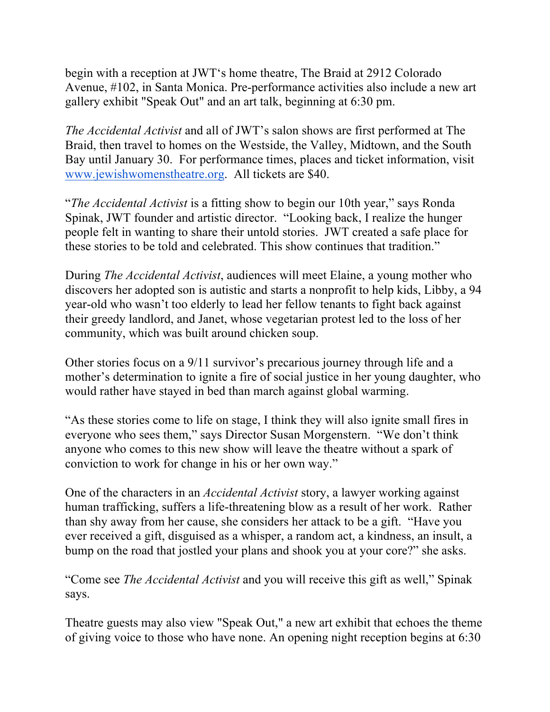begin with a reception at JWT's home theatre, The Braid at 2912 Colorado Avenue, #102, in Santa Monica. Pre-performance activities also include a new art gallery exhibit "Speak Out" and an art talk, beginning at 6:30 pm.

*The Accidental Activist* and all of JWT's salon shows are first performed at The Braid, then travel to homes on the Westside, the Valley, Midtown, and the South Bay until January 30. For performance times, places and ticket information, visit www.jewishwomenstheatre.org. All tickets are \$40.

"*The Accidental Activist* is a fitting show to begin our 10th year," says Ronda Spinak, JWT founder and artistic director. "Looking back, I realize the hunger people felt in wanting to share their untold stories. JWT created a safe place for these stories to be told and celebrated. This show continues that tradition."

During *The Accidental Activist*, audiences will meet Elaine, a young mother who discovers her adopted son is autistic and starts a nonprofit to help kids, Libby, a 94 year-old who wasn't too elderly to lead her fellow tenants to fight back against their greedy landlord, and Janet, whose vegetarian protest led to the loss of her community, which was built around chicken soup.

Other stories focus on a 9/11 survivor's precarious journey through life and a mother's determination to ignite a fire of social justice in her young daughter, who would rather have stayed in bed than march against global warming.

"As these stories come to life on stage, I think they will also ignite small fires in everyone who sees them," says Director Susan Morgenstern. "We don't think anyone who comes to this new show will leave the theatre without a spark of conviction to work for change in his or her own way."

One of the characters in an *Accidental Activist* story, a lawyer working against human trafficking, suffers a life-threatening blow as a result of her work. Rather than shy away from her cause, she considers her attack to be a gift. "Have you ever received a gift, disguised as a whisper, a random act, a kindness, an insult, a bump on the road that jostled your plans and shook you at your core?" she asks.

"Come see *The Accidental Activist* and you will receive this gift as well," Spinak says.

Theatre guests may also view "Speak Out," a new art exhibit that echoes the theme of giving voice to those who have none. An opening night reception begins at 6:30